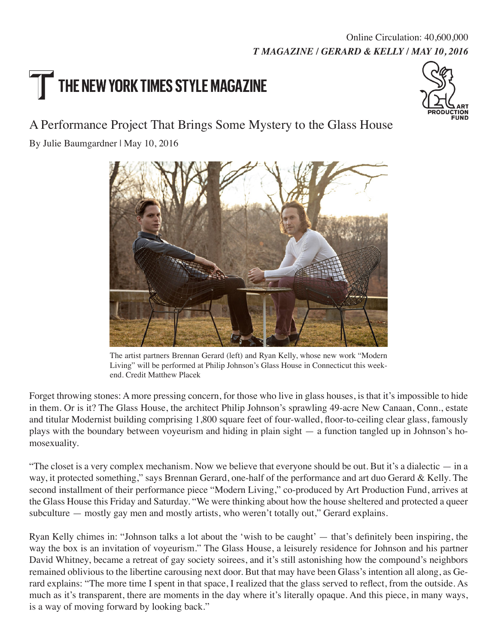## *T MAGAZINE / GERARD & KELLY / MAY 10, 2016* Online Circulation: 40,600,000

## THE NEW YORK TIMES STYLE MAGAZINE



## A Performance Project That Brings Some Mystery to the Glass House

By Julie Baumgardner | May 10, 2016



The artist partners Brennan Gerard (left) and Ryan Kelly, whose new work "Modern Living" will be performed at Philip Johnson's Glass House in Connecticut this weekend. Credit Matthew Placek

Forget throwing stones: A more pressing concern, for those who live in glass houses, is that it's impossible to hide in them. Or is it? The Glass House, the architect Philip Johnson's sprawling 49-acre New Canaan, Conn., estate and titular Modernist building comprising 1,800 square feet of four-walled, floor-to-ceiling clear glass, famously plays with the boundary between voyeurism and hiding in plain sight — a function tangled up in Johnson's homosexuality.

"The closet is a very complex mechanism. Now we believe that everyone should be out. But it's a dialectic  $-$  in a way, it protected something," says Brennan Gerard, one-half of the performance and art duo Gerard & Kelly. The second installment of their performance piece "Modern Living," co-produced by Art Production Fund, arrives at the Glass House this Friday and Saturday. "We were thinking about how the house sheltered and protected a queer subculture — mostly gay men and mostly artists, who weren't totally out," Gerard explains.

Ryan Kelly chimes in: "Johnson talks a lot about the 'wish to be caught' — that's definitely been inspiring, the way the box is an invitation of voyeurism." The Glass House, a leisurely residence for Johnson and his partner David Whitney, became a retreat of gay society soirees, and it's still astonishing how the compound's neighbors remained oblivious to the libertine carousing next door. But that may have been Glass's intention all along, as Gerard explains: "The more time I spent in that space, I realized that the glass served to reflect, from the outside. As much as it's transparent, there are moments in the day where it's literally opaque. And this piece, in many ways, is a way of moving forward by looking back."